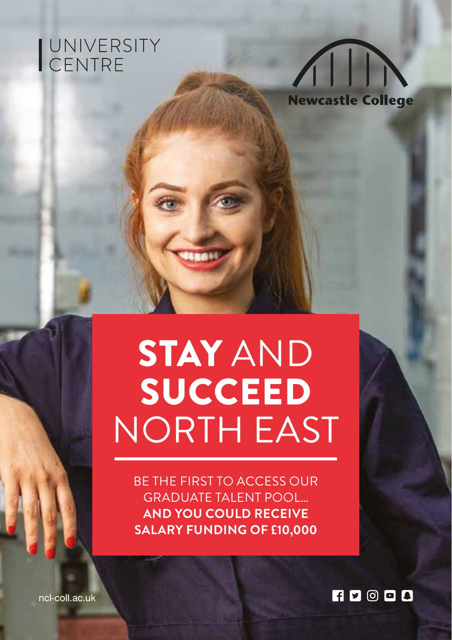# UNIVERSITY<br>CENTRE



## STAY AND **SUCCEED** NORTH EAST

BE THE FIRST TO ACCESS OUR GRADUATE TALENT POOL… **AND YOU COULD RECEIVE SALARY FUNDING OF £10,000**

**FIDODB** 

ncl-coll.ac.uk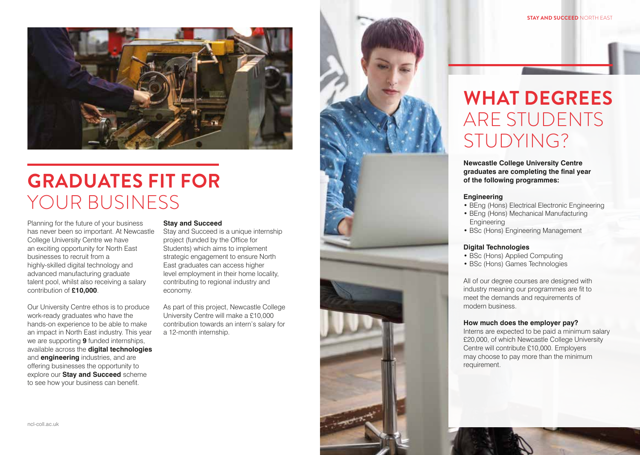

## **GRADUATES FIT FOR**  YOUR BUSINESS

Planning for the future of your business has never been so important. At Newcastle College University Centre we have an exciting opportunity for North East businesses to recruit from a highly-skilled digital technology and advanced manufacturing graduate talent pool, whilst also receiving a salary contribution of **£10,000**.

Our University Centre ethos is to produce work-ready graduates who have the hands-on experience to be able to make an impact in North East industry. This year we are supporting **9** funded internships, available across the **digital technologies** and **engineering** industries, and are offering businesses the opportunity to explore our **Stay and Succeed** scheme to see how your business can benefit.

### **Stay and Succeed**

Stay and Succeed is a unique internship project (funded by the Office for Students) which aims to implement strategic engagement to ensure North East graduates can access higher level employment in their home locality, contributing to regional industry and economy.

As part of this project, Newcastle College University Centre will make a £10,000 contribution towards an intern's salary for a 12-month internship.





**Newcastle College University Centre graduates are completing the final year of the following programmes:** 

#### **Engineering**

- BEng (Hons) Electrical Electronic Engineering
- BEng (Hons) Mechanical Manufacturing **Engineering**
- BSc (Hons) Engineering Management

### **Digital Technologies**

- BSc (Hons) Applied Computing
- BSc (Hons) Games Technologies

All of our degree courses are designed with industry meaning our programmes are fit to meet the demands and requirements of modern business.

#### **How much does the employer pay?**

Interns are expected to be paid a minimum salary £20,000, of which Newcastle College University Centre will contribute £10,000. Employers may choose to pay more than the minimum requirement.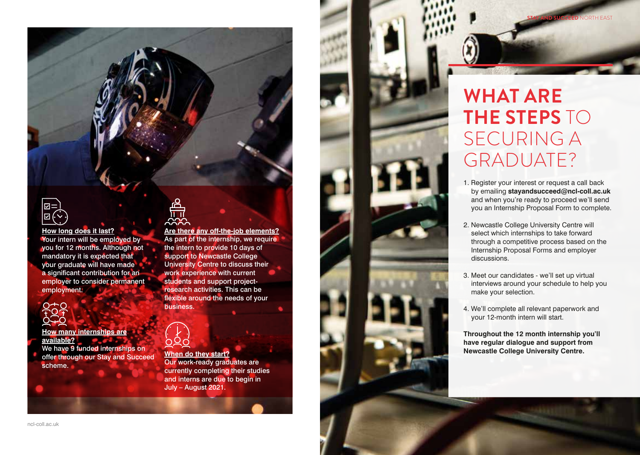

**How long does it last?** Your intern will be employed by you for 12 months. Although not mandatory it is expected that your graduate will have made a significant contribution for an employer to consider permanent employment.



**How many internships are available?** We have 9 funded internships on offer through our Stay and Succeed scheme.

<u>이</u>다<br>대

As part of the internship, we require the intern to provide 10 days of support to Newcastle College University Centre to discuss their work experience with current students and support projectresearch activities. This can be flexible around the needs of your business.

**When do they start?** Our work-ready graduates are currently completing their studies and interns are due to begin in July – August 2021.

**Are there any off-the-job elements?**

**WHAT ARE THE STEPS** TO SECURING A GRADUATE?

**STAY AND SUCCEED** NORTH EAST

- 1. Register your interest or request a call back by emailing **stayandsucceed@ncl-coll.ac.uk** and when you're ready to proceed we'll send you an Internship Proposal Form to complete.
- 2. Newcastle College University Centre will select which internships to take forward through a competitive process based on the Internship Proposal Forms and employer discussions.
- 3. Meet our candidates we'll set up virtual interviews around your schedule to help you make your selection.
- 4. We'll complete all relevant paperwork and your 12-month intern will start.

**Throughout the 12 month internship you'll have regular dialogue and support from Newcastle College University Centre.**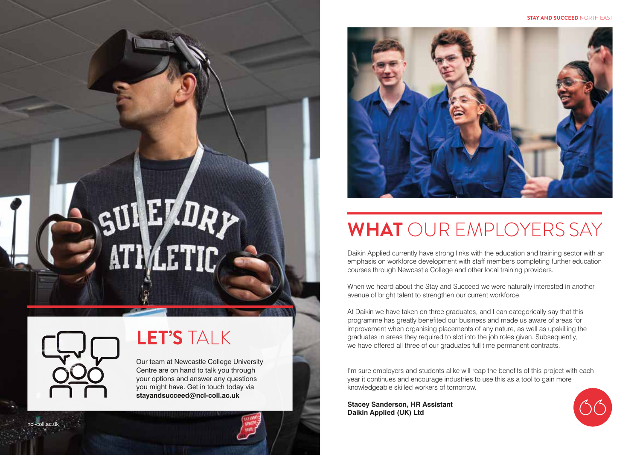#### **STAY AND SUCCEED** NORTH EAST



## **WHAT** OUR EMPLOYERS SAY

Daikin Applied currently have strong links with the education and training sector with an emphasis on workforce development with staff members completing further education courses through Newcastle College and other local training providers.

When we heard about the Stay and Succeed we were naturally interested in another avenue of bright talent to strengthen our current workforce.

At Daikin we have taken on three graduates, and I can categorically say that this programme has greatly benefited our business and made us aware of areas for improvement when organising placements of any nature, as well as upskilling the graduates in areas they required to slot into the job roles given. Subsequently, we have offered all three of our graduates full time permanent contracts.

I'm sure employers and students alike will reap the benefits of this project with each year it continues and encourage industries to use this as a tool to gain more knowledgeable skilled workers of tomorrow.

**Stacey Sanderson, HR Assistant Daikin Applied (UK) Ltd**





ncl-coll.ac.uk

### **LET'S** TALK

Our team at Newcastle College University Centre are on hand to talk you through your options and answer any questions you might have. Get in touch today via **stayandsucceed@ncl-coll.ac.uk**